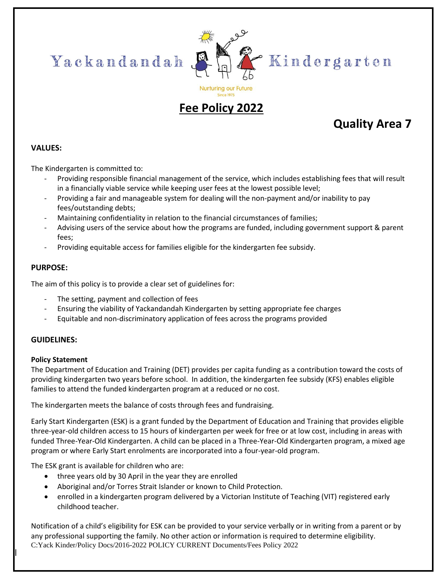



"Kindergarten

# **Since 1975 Fee Policy 2022**

# **Quality Area 7**

### **VALUES:**

The Kindergarten is committed to:

- Providing responsible financial management of the service, which includes establishing fees that will result in a financially viable service while keeping user fees at the lowest possible level;
- Providing a fair and manageable system for dealing will the non-payment and/or inability to pay fees/outstanding debts;
- Maintaining confidentiality in relation to the financial circumstances of families;
- Advising users of the service about how the programs are funded, including government support & parent fees;
- Providing equitable access for families eligible for the kindergarten fee subsidy.

### **PURPOSE:**

The aim of this policy is to provide a clear set of guidelines for:

- The setting, payment and collection of fees
- Ensuring the viability of Yackandandah Kindergarten by setting appropriate fee charges
- Equitable and non-discriminatory application of fees across the programs provided

### **GUIDELINES:**

### **Policy Statement**

The Department of Education and Training (DET) provides per capita funding as a contribution toward the costs of providing kindergarten two years before school. In addition, the kindergarten fee subsidy (KFS) enables eligible families to attend the funded kindergarten program at a reduced or no cost.

The kindergarten meets the balance of costs through fees and fundraising.

Early Start Kindergarten (ESK) is a grant funded by the Department of Education and Training that provides eligible three-year-old children access to 15 hours of kindergarten per week for free or at low cost, including in areas with funded Three-Year-Old Kindergarten. A child can be placed in a Three-Year-Old Kindergarten program, a mixed age program or where Early Start enrolments are incorporated into a four-year-old program.

The ESK grant is available for children who are:

- three years old by 30 April in the year they are enrolled
- Aboriginal and/or Torres Strait Islander or known to Child Protection.
- enrolled in a kindergarten program delivered by a Victorian Institute of Teaching (VIT) registered early childhood teacher.

C:Yack Kinder/Policy Docs/2016-2022 POLICY CURRENT Documents/Fees Policy 2022 Notification of a child's eligibility for ESK can be provided to your service verbally or in writing from a parent or by any professional supporting the family. No other action or information is required to determine eligibility.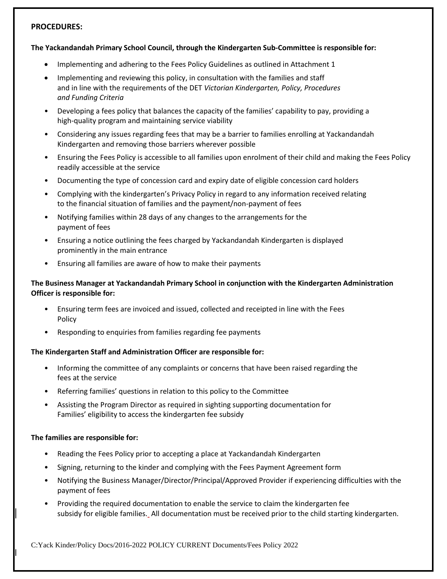#### **PROCEDURES:**

#### **The Yackandandah Primary School Council, through the Kindergarten Sub-Committee is responsible for:**

- Implementing and adhering to the Fees Policy Guidelines as outlined in Attachment 1
- Implementing and reviewing this policy, in consultation with the families and staff and in line with the requirements of the DET *Victorian Kindergarten, Policy, Procedures and Funding Criteria*
- Developing a fees policy that balances the capacity of the families' capability to pay, providing a high-quality program and maintaining service viability
- Considering any issues regarding fees that may be a barrier to families enrolling at Yackandandah Kindergarten and removing those barriers wherever possible
- Ensuring the Fees Policy is accessible to all families upon enrolment of their child and making the Fees Policy readily accessible at the service
- Documenting the type of concession card and expiry date of eligible concession card holders
- Complying with the kindergarten's Privacy Policy in regard to any information received relating to the financial situation of families and the payment/non-payment of fees
- Notifying families within 28 days of any changes to the arrangements for the payment of fees
- Ensuring a notice outlining the fees charged by Yackandandah Kindergarten is displayed prominently in the main entrance
- Ensuring all families are aware of how to make their payments

#### **The Business Manager at Yackandandah Primary School in conjunction with the Kindergarten Administration Officer is responsible for:**

- Ensuring term fees are invoiced and issued, collected and receipted in line with the Fees Policy
- Responding to enquiries from families regarding fee payments

#### **The Kindergarten Staff and Administration Officer are responsible for:**

- Informing the committee of any complaints or concerns that have been raised regarding the fees at the service
- Referring families' questions in relation to this policy to the Committee
- Assisting the Program Director as required in sighting supporting documentation for Families' eligibility to access the kindergarten fee subsidy

#### **The families are responsible for:**

- Reading the Fees Policy prior to accepting a place at Yackandandah Kindergarten
- Signing, returning to the kinder and complying with the Fees Payment Agreement form
- Notifying the Business Manager/Director/Principal/Approved Provider if experiencing difficulties with the payment of fees
- Providing the required documentation to enable the service to claim the kindergarten fee subsidy for eligible families. All documentation must be received prior to the child starting kindergarten.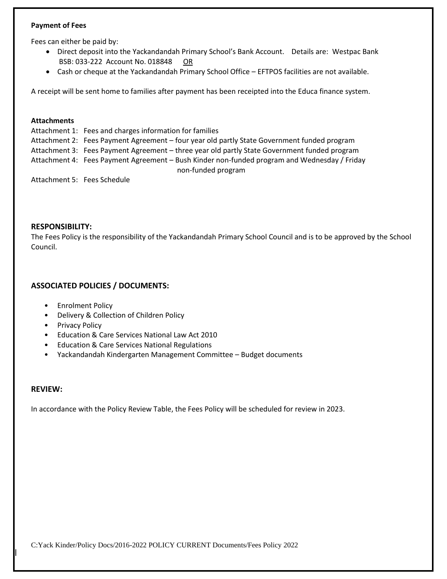#### **Payment of Fees**

Fees can either be paid by:

- Direct deposit into the Yackandandah Primary School's Bank Account. Details are: Westpac Bank BSB: 033-222 Account No. 018848 OR
- Cash or cheque at the Yackandandah Primary School Office EFTPOS facilities are not available.

A receipt will be sent home to families after payment has been receipted into the Educa finance system.

#### **Attachments**

Attachment 1: Fees and charges information for families Attachment 2: Fees Payment Agreement – four year old partly State Government funded program Attachment 3: Fees Payment Agreement – three year old partly State Government funded program Attachment 4: Fees Payment Agreement – Bush Kinder non-funded program and Wednesday / Friday non-funded program Attachment 5: Fees Schedule

#### **RESPONSIBILITY:**

The Fees Policy is the responsibility of the Yackandandah Primary School Council and is to be approved by the School Council.

#### **ASSOCIATED POLICIES / DOCUMENTS:**

- Enrolment Policy
- Delivery & Collection of Children Policy
- Privacy Policy
- Education & Care Services National Law Act 2010
- Education & Care Services National Regulations
- Yackandandah Kindergarten Management Committee Budget documents

#### **REVIEW:**

In accordance with the Policy Review Table, the Fees Policy will be scheduled for review in 2023.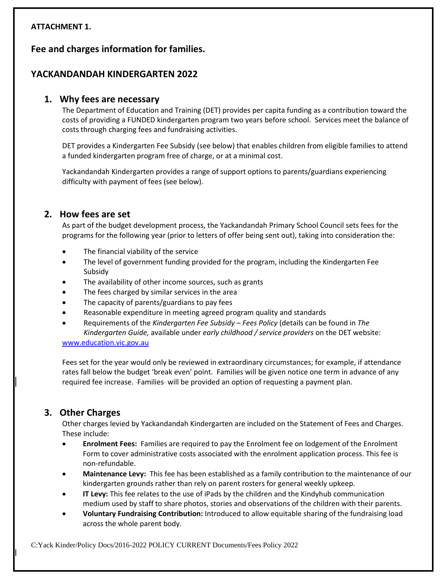### **ATTACHMENT 1.**

**Fee and charges information for families.**

### **YACKANDANDAH KINDERGARTEN 2022**

### **1. Why fees are necessary**

The Department of Education and Training (DET) provides per capita funding as a contribution toward the costs of providing a FUNDED kindergarten program two years before school. Services meet the balance of costs through charging fees and fundraising activities.

DET provides a Kindergarten Fee Subsidy (see below) that enables children from eligible families to attend a funded kindergarten program free of charge, or at a minimal cost.

Yackandandah Kindergarten provides a range of support options to parents/guardians experiencing difficulty with payment of fees (see below).

### **2. How fees are set**

As part of the budget development process, the Yackandandah Primary School Council sets fees for the programs for the following year (prior to letters of offer being sent out), taking into consideration the:

- The financial viability of the service
- The level of government funding provided for the program, including the Kindergarten Fee Subsidy
- The availability of other income sources, such as grants
- The fees charged by similar services in the area
- The capacity of parents/guardians to pay fees
- Reasonable expenditure in meeting agreed program quality and standards
- Requirements of the *Kindergarten Fee Subsidy – Fees Policy* (details can be found in *The Kindergarten Guide,* available under *early childhood / service providers* on the DET website:

[www.education.vic.gov.au](http://www.education.vic.gov.au/)

Fees set for the year would only be reviewed in extraordinary circumstances; for example, if attendance rates fall below the budget 'break even' point. Families will be given notice one term in advance of any required fee increase. -Families- will be provided an option of requesting a payment plan.

### **3. Other Charges**

Other charges levied by Yackandandah Kindergarten are included on the Statement of Fees and Charges. These include:

- **Enrolment Fees:** Families are required to pay the Enrolment fee on lodgement of the Enrolment Form to cover administrative costs associated with the enrolment application process. This fee is non-refundable.
- **Maintenance Levy:** This fee has been established as a family contribution to the maintenance of our kindergarten grounds rather than rely on parent rosters for general weekly upkeep.
- **IT Levy:** This fee relates to the use of iPads by the children and the Kindyhub communication medium used by staff to share photos, stories and observations of the children with their parents.
- **Voluntary Fundraising Contribution:** Introduced to allow equitable sharing of the fundraising load across the whole parent body.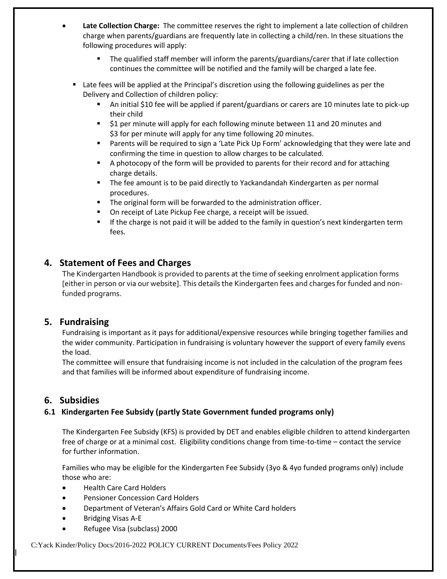- **Late Collection Charge:** The committee reserves the right to implement a late collection of children charge when parents/guardians are frequently late in collecting a child/ren. In these situations the following procedures will apply:
	- The qualified staff member will inform the parents/guardians/carer that if late collection continues the committee will be notified and the family will be charged a late fee.
	- Late fees will be applied at the Principal's discretion using the following guidelines as per the Delivery and Collection of children policy:
		- An initial \$10 fee will be applied if parent/guardians or carers are 10 minutes late to pick-up their child
		- \$1 per minute will apply for each following minute between 11 and 20 minutes and \$3 for per minute will apply for any time following 20 minutes.
		- Parents will be required to sign a 'Late Pick Up Form' acknowledging that they were late and confirming the time in question to allow charges to be calculated.
		- A photocopy of the form will be provided to parents for their record and for attaching charge details.
		- **•** The fee amount is to be paid directly to Yackandandah Kindergarten as per normal procedures.
		- The original form will be forwarded to the administration officer.
		- On receipt of Late Pickup Fee charge, a receipt will be issued.
		- **■** If the charge is not paid it will be added to the family in question's next kindergarten term fees.

### **4. Statement of Fees and Charges**

The Kindergarten Handbook is provided to parents at the time of seeking enrolment application forms [either in person or via our website]. This details the Kindergarten fees and charges for funded and nonfunded programs.

### **5. Fundraising**

Fundraising is important as it pays for additional/expensive resources while bringing together families and the wider community. Participation in fundraising is voluntary however the support of every family evens the load.

The committee will ensure that fundraising income is not included in the calculation of the program fees and that families will be informed about expenditure of fundraising income.

### **6. Subsidies**

### **6.1 Kindergarten Fee Subsidy (partly State Government funded programs only)**

The Kindergarten Fee Subsidy (KFS) is provided by DET and enables eligible children to attend kindergarten free of charge or at a minimal cost. Eligibility conditions change from time-to-time – contact the service for further information.

Families who may be eligible for the Kindergarten Fee Subsidy (3yo & 4yo funded programs only) include those who are:

- Health Care Card Holders
- Pensioner Concession Card Holders
- Department of Veteran's Affairs Gold Card or White Card holders
- Bridging Visas A-E
- Refugee Visa (subclass) 2000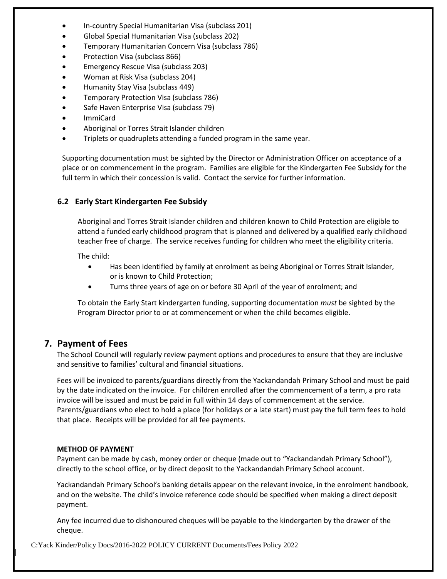- In-country Special Humanitarian Visa (subclass 201)
- Global Special Humanitarian Visa (subclass 202)
- Temporary Humanitarian Concern Visa (subclass 786)
- Protection Visa (subclass 866)
- Emergency Rescue Visa (subclass 203)
- Woman at Risk Visa (subclass 204)
- Humanity Stay Visa (subclass 449)
- Temporary Protection Visa (subclass 786)
- Safe Haven Enterprise Visa (subclass 79)
- ImmiCard
- Aboriginal or Torres Strait Islander children
- Triplets or quadruplets attending a funded program in the same year.

Supporting documentation must be sighted by the Director or Administration Officer on acceptance of a place or on commencement in the program. Families are eligible for the Kindergarten Fee Subsidy for the full term in which their concession is valid. Contact the service for further information.

### **6.2 Early Start Kindergarten Fee Subsidy**

Aboriginal and Torres Strait Islander children and children known to Child Protection are eligible to attend a funded early childhood program that is planned and delivered by a qualified early childhood teacher free of charge. The service receives funding for children who meet the eligibility criteria.

The child:

- Has been identified by family at enrolment as being Aboriginal or Torres Strait Islander, or is known to Child Protection;
- Turns three years of age on or before 30 April of the year of enrolment; and

To obtain the Early Start kindergarten funding, supporting documentation *must* be sighted by the Program Director prior to or at commencement or when the child becomes eligible.

### **7. Payment of Fees**

The School Council will regularly review payment options and procedures to ensure that they are inclusive and sensitive to families' cultural and financial situations.

Fees will be invoiced to parents/guardians directly from the Yackandandah Primary School and must be paid by the date indicated on the invoice. For children enrolled after the commencement of a term, a pro rata invoice will be issued and must be paid in full within 14 days of commencement at the service. Parents/guardians who elect to hold a place (for holidays or a late start) must pay the full term fees to hold that place. Receipts will be provided for all fee payments.

#### **METHOD OF PAYMENT**

Payment can be made by cash, money order or cheque (made out to "Yackandandah Primary School"), directly to the school office, or by direct deposit to the Yackandandah Primary School account.

Yackandandah Primary School's banking details appear on the relevant invoice, in the enrolment handbook, and on the website. The child's invoice reference code should be specified when making a direct deposit payment.

Any fee incurred due to dishonoured cheques will be payable to the kindergarten by the drawer of the cheque.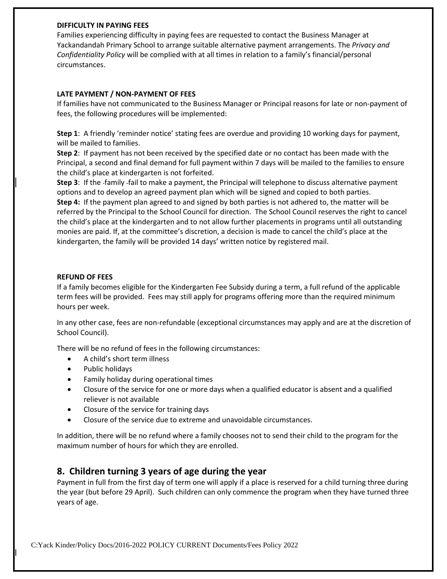#### **DIFFICULTY IN PAYING FEES**

Families experiencing difficulty in paying fees are requested to contact the Business Manager at Yackandandah Primary School to arrange suitable alternative payment arrangements. The *Privacy and Confidentiality Policy* will be complied with at all times in relation to a family's financial/personal circumstances.

#### **LATE PAYMENT / NON-PAYMENT OF FEES**

If families have not communicated to the Business Manager or Principal reasons for late or non-payment of fees, the following procedures will be implemented:

**Step 1**: A friendly 'reminder notice' stating fees are overdue and providing 10 working days for payment, will be mailed to families.

**Step 2**: If payment has not been received by the specified date or no contact has been made with the Principal, a second and final demand for full payment within 7 days will be mailed to the families to ensure the child's place at kindergarten is not forfeited.

**Step 3**: If the family fail to make a payment, the Principal will telephone to discuss alternative payment options and to develop an agreed payment plan which will be signed and copied to both parties. **Step 4:** If the payment plan agreed to and signed by both parties is not adhered to, the matter will be referred by the Principal to the School Council for direction. The School Council reserves the right to cancel the child's place at the kindergarten and to not allow further placements in programs until all outstanding monies are paid. If, at the committee's discretion, a decision is made to cancel the child's place at the kindergarten, the family will be provided 14 days' written notice by registered mail.

#### **REFUND OF FEES**

If a family becomes eligible for the Kindergarten Fee Subsidy during a term, a full refund of the applicable term fees will be provided. Fees may still apply for programs offering more than the required minimum hours per week.

In any other case, fees are non-refundable (exceptional circumstances may apply and are at the discretion of School Council).

There will be no refund of fees in the following circumstances:

- A child's short term illness
- Public holidays
- Family holiday during operational times
- Closure of the service for one or more days when a qualified educator is absent and a qualified reliever is not available
- Closure of the service for training days
- Closure of the service due to extreme and unavoidable circumstances.

In addition, there will be no refund where a family chooses not to send their child to the program for the maximum number of hours for which they are enrolled.

### **8. Children turning 3 years of age during the year**

Payment in full from the first day of term one will apply if a place is reserved for a child turning three during the year (but before 29 April). Such children can only commence the program when they have turned three years of age.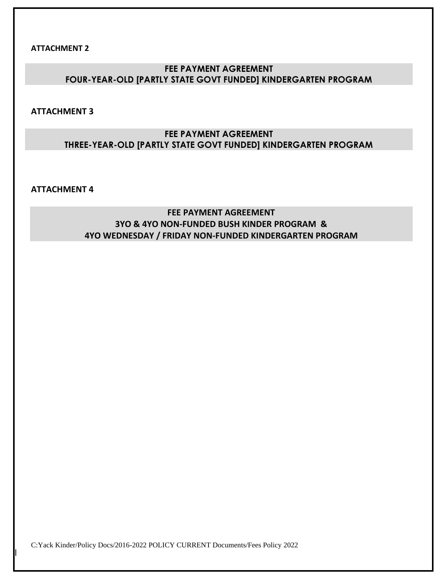**ATTACHMENT 2**

### **FEE PAYMENT AGREEMENT FOUR-YEAR-OLD [PARTLY STATE GOVT FUNDED] KINDERGARTEN PROGRAM**

**ATTACHMENT 3**

### **FEE PAYMENT AGREEMENT THREE-YEAR-OLD [PARTLY STATE GOVT FUNDED] KINDERGARTEN PROGRAM**

**ATTACHMENT 4**

**FEE PAYMENT AGREEMENT 3YO & 4YO NON-FUNDED BUSH KINDER PROGRAM & 4YO WEDNESDAY / FRIDAY NON-FUNDED KINDERGARTEN PROGRAM**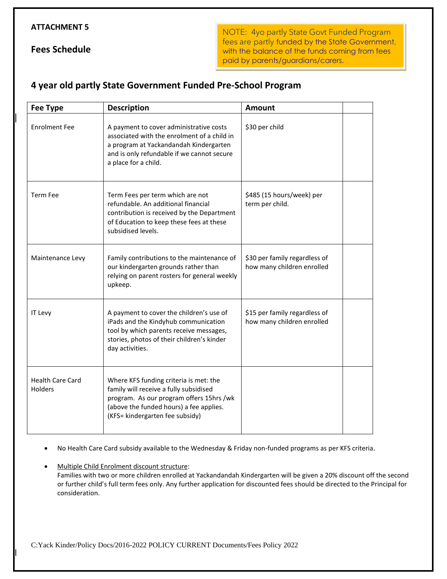#### **ATTACHMENT 5**

**Fees Schedule**

NOTE: 4yo partly State Govt Funded Program fees are partly funded by the State Government, with the balance of the funds coming from fees paid by parents/guardians/carers.

## **4 year old partly State Government Funded Pre-School Program**

| <b>Fee Type</b>                    | <b>Description</b>                                                                                                                                                                                         | <b>Amount</b>                                               |  |
|------------------------------------|------------------------------------------------------------------------------------------------------------------------------------------------------------------------------------------------------------|-------------------------------------------------------------|--|
| <b>Enrolment Fee</b>               | A payment to cover administrative costs<br>associated with the enrolment of a child in<br>a program at Yackandandah Kindergarten<br>and is only refundable if we cannot secure<br>a place for a child.     | \$30 per child                                              |  |
| <b>Term Fee</b>                    | Term Fees per term which are not<br>refundable. An additional financial<br>contribution is received by the Department<br>of Education to keep these fees at these<br>subsidised levels.                    | \$485 (15 hours/week) per<br>term per child.                |  |
| Maintenance Levy                   | Family contributions to the maintenance of<br>our kindergarten grounds rather than<br>relying on parent rosters for general weekly<br>upkeep.                                                              | \$30 per family regardless of<br>how many children enrolled |  |
| IT Levy                            | A payment to cover the children's use of<br>iPads and the Kindyhub communication<br>tool by which parents receive messages,<br>stories, photos of their children's kinder<br>day activities.               | \$15 per family regardless of<br>how many children enrolled |  |
| <b>Health Care Card</b><br>Holders | Where KFS funding criteria is met: the<br>family will receive a fully subsidised<br>program. As our program offers 15hrs /wk<br>(above the funded hours) a fee applies.<br>(KFS= kindergarten fee subsidy) |                                                             |  |

• No Health Care Card subsidy available to the Wednesday & Friday non-funded programs as per KFS criteria.

• Multiple Child Enrolment discount structure: Families with two or more children enrolled at Yackandandah Kindergarten will be given a 20% discount off the second or further child's full term fees only. Any further application for discounted fees should be directed to the Principal for consideration.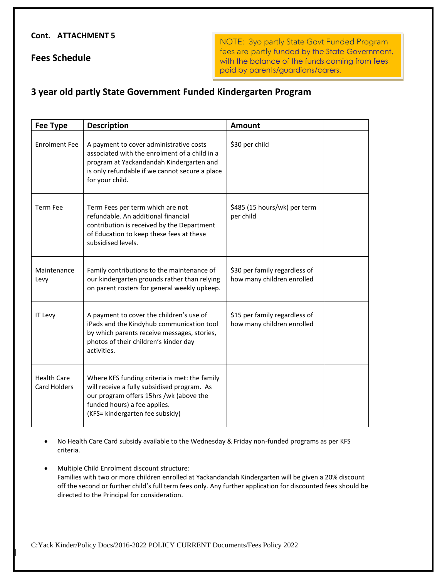#### **Cont. ATTACHMENT 5**

**Fees Schedule**

NOTE: 3yo partly State Govt Funded Program fees are partly funded by the State Government, with the balance of the funds coming from fees paid by parents/guardians/carers.

### **3 year old partly State Government Funded Kindergarten Program**

| <b>Fee Type</b>                    | <b>Description</b>                                                                                                                                                                                         | Amount                                                      |
|------------------------------------|------------------------------------------------------------------------------------------------------------------------------------------------------------------------------------------------------------|-------------------------------------------------------------|
| <b>Enrolment Fee</b>               | A payment to cover administrative costs<br>associated with the enrolment of a child in a<br>program at Yackandandah Kindergarten and<br>is only refundable if we cannot secure a place<br>for your child.  | \$30 per child                                              |
| <b>Term Fee</b>                    | Term Fees per term which are not<br>refundable. An additional financial<br>contribution is received by the Department<br>of Education to keep these fees at these<br>subsidised levels.                    | \$485 (15 hours/wk) per term<br>per child                   |
| Maintenance<br>Levy                | Family contributions to the maintenance of<br>our kindergarten grounds rather than relying<br>on parent rosters for general weekly upkeep.                                                                 | \$30 per family regardless of<br>how many children enrolled |
| IT Levy                            | A payment to cover the children's use of<br>iPads and the Kindyhub communication tool<br>by which parents receive messages, stories,<br>photos of their children's kinder day<br>activities.               | \$15 per family regardless of<br>how many children enrolled |
| <b>Health Care</b><br>Card Holders | Where KFS funding criteria is met: the family<br>will receive a fully subsidised program. As<br>our program offers 15hrs /wk (above the<br>funded hours) a fee applies.<br>(KFS= kindergarten fee subsidy) |                                                             |

• No Health Care Card subsidy available to the Wednesday & Friday non-funded programs as per KFS criteria.

Multiple Child Enrolment discount structure: Families with two or more children enrolled at Yackandandah Kindergarten will be given a 20% discount off the second or further child's full term fees only. Any further application for discounted fees should be directed to the Principal for consideration.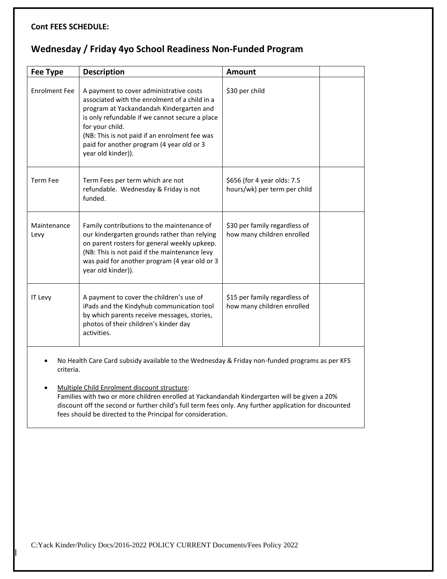#### **Cont FEES SCHEDULE:**

# **Wednesday / Friday 4yo School Readiness Non-Funded Program**

| <b>Fee Type</b>                                                                                                                                                                                                                                                                                                                                                                                                                      | <b>Description</b>                                                                                                                                                                                                                                                                                                            | <b>Amount</b>                                               |  |  |
|--------------------------------------------------------------------------------------------------------------------------------------------------------------------------------------------------------------------------------------------------------------------------------------------------------------------------------------------------------------------------------------------------------------------------------------|-------------------------------------------------------------------------------------------------------------------------------------------------------------------------------------------------------------------------------------------------------------------------------------------------------------------------------|-------------------------------------------------------------|--|--|
| <b>Enrolment Fee</b>                                                                                                                                                                                                                                                                                                                                                                                                                 | A payment to cover administrative costs<br>associated with the enrolment of a child in a<br>program at Yackandandah Kindergarten and<br>is only refundable if we cannot secure a place<br>for your child.<br>(NB: This is not paid if an enrolment fee was<br>paid for another program (4 year old or 3<br>year old kinder)). | \$30 per child                                              |  |  |
| <b>Term Fee</b>                                                                                                                                                                                                                                                                                                                                                                                                                      | Term Fees per term which are not<br>refundable. Wednesday & Friday is not<br>funded.                                                                                                                                                                                                                                          | \$656 (for 4 year olds: 7.5<br>hours/wk) per term per child |  |  |
| Maintenance<br>Levy                                                                                                                                                                                                                                                                                                                                                                                                                  | Family contributions to the maintenance of<br>our kindergarten grounds rather than relying<br>on parent rosters for general weekly upkeep.<br>(NB: This is not paid if the maintenance levy<br>was paid for another program (4 year old or 3<br>year old kinder)).                                                            | \$30 per family regardless of<br>how many children enrolled |  |  |
| IT Levy                                                                                                                                                                                                                                                                                                                                                                                                                              | A payment to cover the children's use of<br>iPads and the Kindyhub communication tool<br>by which parents receive messages, stories,<br>photos of their children's kinder day<br>activities.                                                                                                                                  | \$15 per family regardless of<br>how many children enrolled |  |  |
| No Health Care Card subsidy available to the Wednesday & Friday non-funded programs as per KFS<br>criteria.<br>Multiple Child Enrolment discount structure:<br>Families with two or more children enrolled at Yackandandah Kindergarten will be given a 20%<br>discount off the second or further child's full term fees only. Any further application for discounted<br>fees should be directed to the Principal for consideration. |                                                                                                                                                                                                                                                                                                                               |                                                             |  |  |
|                                                                                                                                                                                                                                                                                                                                                                                                                                      |                                                                                                                                                                                                                                                                                                                               |                                                             |  |  |